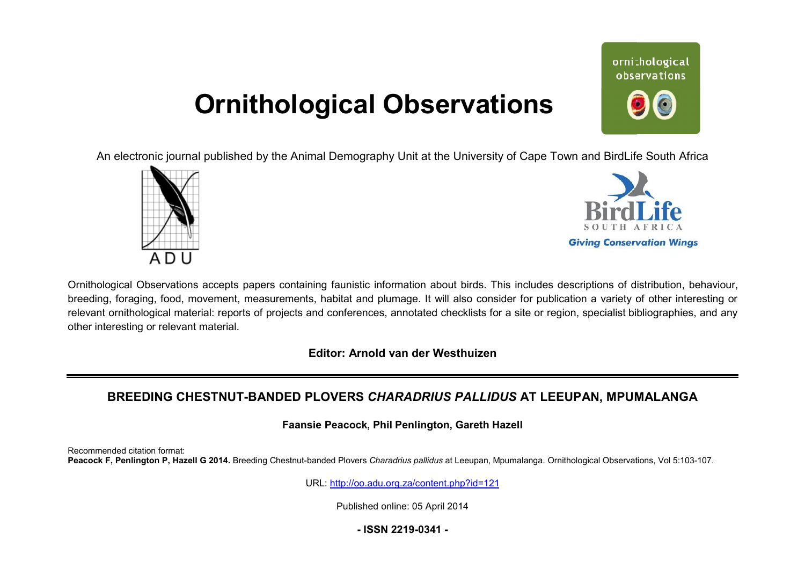# **Ornithological Observations**

ornithological observations

An electronic journal published by the Animal Demography Unit at the University of Cape Town and BirdLife South Africa





Ornithological Observations accepts papers containing faunistic information about birds. This includes descriptions of distribution, behaviour, breeding, foraging, food, movement, measurements, habitat and plumage. It will also consider for publication a variety of other interesting or relevant ornithological material: reports of projects and conferences, annotated checklists for a site or region, specialist bibliographies, and any other interesting or relevant material.

**Editor: Arnold van der Westhuizen**

## BREEDING CHESTNUT-BANDED PLOVERS *CHARADRIUS PALLIDUS* AT LEEUPAN, MPUMALANGA

**Faansie Peacock Peacock, Phil Penlington, Gareth Hazell** 

Recommended citation format: Peacock F, Penlington P, Hazell G 2014. Breeding Chestnut-banded Plovers Charadrius pallidus at Leeupan, Mpumalanga. Ornithological Observations, Vol 5:103-107.

URL: <http://oo.adu.org.za/content.php?id=121>

Published online: 05 April 2014

**- ISSN 2219-0341 -**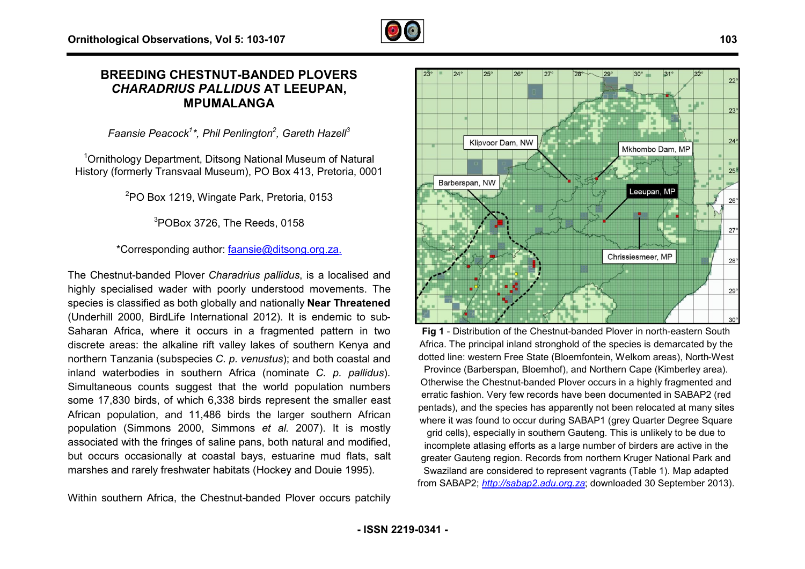

### **BREEDING CHESTNUT-BANDED PLOVERS BANDED***CHARADRIUS PALLIDUS* **AT LEEUPAN, MPUMALANGA**

*Faansie Peacock<sup>1</sup> \*, Phil Penlington<sup>2</sup> , Gareth Hazell 3* 

<sup>1</sup>Ornithology Department, Ditsong National Museum of Natural History (formerly Transvaal Museum), PO Box 413, Pretoria, 0001

<sup>2</sup>PO Box 1219, Wingate Park, Pretoria, 0153

<sup>3</sup>POBox 3726, The Reeds, 0158

\*Corresponding author: [faansie@ditsong.org.za](mailto:faansie@ditsong.org.za) faansie@ditsong.org.za.

The Chestnut-banded Plover *Charadrius pallidus*, is a localised and highly specialised wader with poorly understood movements. The species is classified as both globally and nationally **Near Threatened** (Underhill 2000, BirdLife International 2012). It is endemic to sub-Saharan Africa, where it occurs in a fragmented pattern in two discrete areas: the alkaline rift valley lakes of southern Kenya and northern Tanzania (subspecies *C. p. venustus*); and both coastal and inland waterbodies in southern Africa (nominate *C. p. pallidus* ). Simultaneous counts suggest that the world population numbers some 17,830 birds, of which 6,338 birds represent the smaller east African population, and 11,486 birds the larger southern African population (Simmons 2000, Simmons *et al.* 2007). It is mostly associated with the fringes of saline pans, both natural and modified, but occurs occasionally at coastal bays, estuarine mud flats, salt marshes and rarely freshwater habitats (Hockey and Douie 1995). ggest that the world population numborsich 6,338 birds represent the smaller e.<br>11,486 birds the larger southern Afric<br>1000, Simmons *et al.* 2007). It is moss of saline pans, both natural and modificiat coastal bays, estu

Within southern Africa, the Chestnut-banded Plover occurs patchily



a fragmented pattern in two<br>
lakes of southern Kenya and<br> *Africa*. The principal inland stronghold of the species is der<br> *entastus*); and both coastal and<br>
continue C. p. pallidus).<br>
Province (Barberspan, Bloembof), and Africa. The principal inland stronghold of the species is demarcated by the dotted line: western Free State (Bloemfontein, Welkom areas), North-West Province (Barberspan, Bloemhof), and Northern Cape (Kimberley area). Otherwise the Chestnut-banded Plover occurs in a highly fragmented and erratic fashion. Very few records have been documented in SABAP2 (red pentads), and the species has apparently not been relocated at many sites where it was found to occur during SABAP1 (grey Quarter Degree Square grid cells), especially in southern Gauteng. This is unlikely to be due to incomplete atlasing efforts as a large number of birders are active in the greater Gauteng region. Records from northern Kruger National Park and Swaziland are considered to represent vagrants (Table 1). Map adapted from SABAP2; *<http://sabap2.adu.org.za>*; downloaded 30 September 2013). Fig 1 - Distribution of the Chestnut-banded Plover in north-eastern South (Barberspan, Bloemhof), and Northern<br>the Chestnut-banded Plover occurs in<br>hion. Very few records have been docu<br>and the species has apparently not been<br>as found to occur during SABAP1 (grey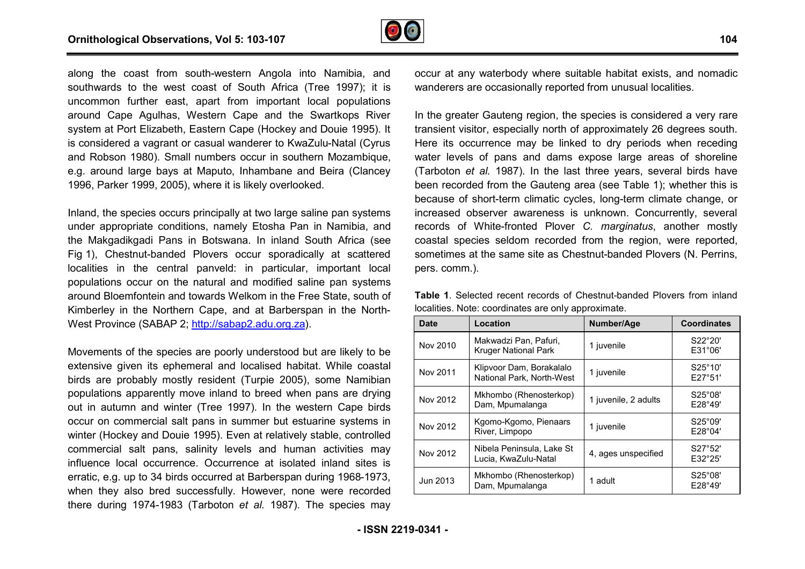

along the coast from south-western Angola into Namibia, and southwards to the west coast of South Africa (Tree 1997); it is uncommon further east, apart from important local populations around Cape Agulhas, Western Cape and the Swartkops River system at Port Elizabeth, Eastern Cape (Hockey and Douie 1995). It is considered a vagrant or casual wanderer to KwaZulu-Natal (Cyrus and Robson 1980). Small numbers occur in southern Mozambique, e.g. around large bays at Maputo, Inhambane and Beira (Clancey 1996, Parker 1999, 2005), where it is likely overlooked.

Movements of the species are poorly understood but are likely to be extensive given its ephemeral and localised habitat. While coastal birds are probably mostly resident (Turpie 2005), some Namibian populations apparently move inland to breed when pans are drying out in autumn and winter (Tree 1997). In the western Cape birds occur on commercial salt pans in summer but estuarine systems in winter (Hockey and Douie 1995). Even at relatively stable, controlled commercial salt pans, salinity levels and human activities may influence local occurrence. Occurrence at isolated inland sites is erratic, e.g. up to 34 birds occurred at Barberspan during 1968-1973, when they also bred successfully. However, none were recorded there during 1974-1983 (Tarboton *et al.* 1987). The species may nd Douie 1995). Even at relatively stable, controlled<br>pans, salinity levels and human activities may<br>occurrence. Occurrence at isolated inland sites is<br>34 birds occurred at Barberspan during 1968-1973,

Table 1. Selected recent records of Chestnut-banded Plovers from inland localities. Note: coordinates are only approximate.

| ng the coast from south-western Angola into Namibia, and<br>uthwards to the west coast of South Africa (Tree 1997); it is<br>common further east, apart from important local populations                                                                                                                                                                                                                                                                                                                                                   | occur at any waterbody where suitable habitat exists, and nomadic<br>wanderers are occasionally reported from unusual localities.<br>In the greater Gauteng region, the species is considered a very rare<br>transient visitor, especially north of approximately 26 degrees south.<br>Here its occurrence may be linked to dry periods when receding<br>water levels of pans and dams expose large areas of shoreline<br>(Tarboton et al. 1987). In the last three years, several birds have<br>been recorded from the Gauteng area (see Table 1); whether this is<br>because of short-term climatic cycles, long-term climate change, or |                                                   |                      |                    |
|--------------------------------------------------------------------------------------------------------------------------------------------------------------------------------------------------------------------------------------------------------------------------------------------------------------------------------------------------------------------------------------------------------------------------------------------------------------------------------------------------------------------------------------------|--------------------------------------------------------------------------------------------------------------------------------------------------------------------------------------------------------------------------------------------------------------------------------------------------------------------------------------------------------------------------------------------------------------------------------------------------------------------------------------------------------------------------------------------------------------------------------------------------------------------------------------------|---------------------------------------------------|----------------------|--------------------|
| ound Cape Agulhas, Western Cape and the Swartkops River<br>stem at Port Elizabeth, Eastern Cape (Hockey and Douie 1995). It<br>considered a vagrant or casual wanderer to KwaZulu-Natal (Cyrus<br>d Robson 1980). Small numbers occur in southern Mozambique,<br>. around large bays at Maputo, Inhambane and Beira (Clancey<br>96, Parker 1999, 2005), where it is likely overlooked.                                                                                                                                                     |                                                                                                                                                                                                                                                                                                                                                                                                                                                                                                                                                                                                                                            |                                                   |                      |                    |
| and, the species occurs principally at two large saline pan systems<br>der appropriate conditions, namely Etosha Pan in Namibia, and<br>Makgadikgadi Pans in Botswana. In inland South Africa (see<br>1), Chestnut-banded Plovers occur sporadically at scattered<br>alities in the central panveld: in particular, important local<br>pulations occur on the natural and modified saline pan systems<br>ound Bloemfontein and towards Welkom in the Free State, south of<br>nberley in the Northern Cape, and at Barberspan in the North- | increased observer awareness is unknown. Concurrently, several<br>records of White-fronted Plover C. marginatus, another mostly<br>coastal species seldom recorded from the region, were reported,<br>sometimes at the same site as Chestnut-banded Plovers (N. Perrins,<br>pers. comm.).<br>Table 1. Selected recent records of Chestnut-banded Plovers from inland<br>localities. Note: coordinates are only approximate.                                                                                                                                                                                                                |                                                   |                      |                    |
| est Province (SABAP 2; http://sabap2.adu.org.za).                                                                                                                                                                                                                                                                                                                                                                                                                                                                                          | <b>Date</b>                                                                                                                                                                                                                                                                                                                                                                                                                                                                                                                                                                                                                                | Location                                          | Number/Age           | <b>Coordinates</b> |
| vements of the species are poorly understood but are likely to be                                                                                                                                                                                                                                                                                                                                                                                                                                                                          | Nov 2010                                                                                                                                                                                                                                                                                                                                                                                                                                                                                                                                                                                                                                   | Makwadzi Pan, Pafuri,<br>Kruger National Park     | 1 juvenile           | S22°20'<br>E31°06' |
| ensive given its ephemeral and localised habitat. While coastal                                                                                                                                                                                                                                                                                                                                                                                                                                                                            | Nov 2011                                                                                                                                                                                                                                                                                                                                                                                                                                                                                                                                                                                                                                   | Klipvoor Dam, Borakalalo                          |                      | S25°10'            |
| ds are probably mostly resident (Turpie 2005), some Namibian                                                                                                                                                                                                                                                                                                                                                                                                                                                                               |                                                                                                                                                                                                                                                                                                                                                                                                                                                                                                                                                                                                                                            | National Park, North-West                         | 1 juvenile           | E27°51'            |
| pulations apparently move inland to breed when pans are drying<br>t in autumn and winter (Tree 1997). In the western Cape birds                                                                                                                                                                                                                                                                                                                                                                                                            | Nov 2012                                                                                                                                                                                                                                                                                                                                                                                                                                                                                                                                                                                                                                   | Mkhombo (Rhenosterkop)<br>Dam, Mpumalanga         | 1 juvenile, 2 adults | S25°08'<br>E28°49' |
| cur on commercial salt pans in summer but estuarine systems in<br>iter (Hockey and Douie 1995). Even at relatively stable, controlled                                                                                                                                                                                                                                                                                                                                                                                                      | Nov 2012                                                                                                                                                                                                                                                                                                                                                                                                                                                                                                                                                                                                                                   | Kgomo-Kgomo, Pienaars<br>River, Limpopo           | 1 juvenile           | S25°09'<br>E28°04' |
| mmercial salt pans, salinity levels and human activities may<br>uence local occurrence. Occurrence at isolated inland sites is                                                                                                                                                                                                                                                                                                                                                                                                             | Nov 2012                                                                                                                                                                                                                                                                                                                                                                                                                                                                                                                                                                                                                                   | Nibela Peninsula, Lake St<br>Lucia, KwaZulu-Natal | 4, ages unspecified  | S27°52'<br>E32°25' |
| atic, e.g. up to 34 birds occurred at Barberspan during 1968-1973,<br>en they also bred successfully. However, none were recorded                                                                                                                                                                                                                                                                                                                                                                                                          | Jun 2013                                                                                                                                                                                                                                                                                                                                                                                                                                                                                                                                                                                                                                   | Mkhombo (Rhenosterkop)<br>Dam, Mpumalanga         | 1 adult              | S25°08'<br>E28°49' |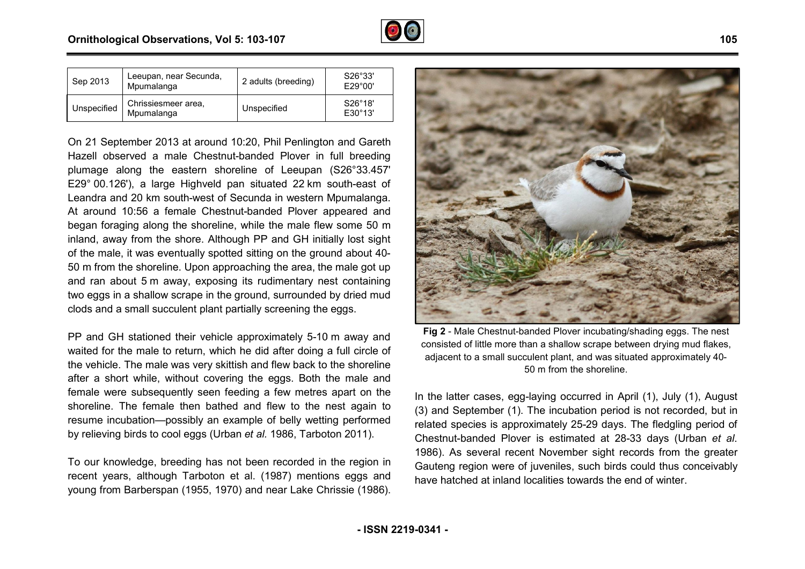

| Sep 2013    | Leeupan, near Secunda,<br>Mpumalanga | 2 adults (breeding) | S26°33'<br>E29°00'         |
|-------------|--------------------------------------|---------------------|----------------------------|
| Unspecified | Chrissiesmeer area.<br>Mpumalanga    | Unspecified         | S26°18'<br>$F30^\circ 13'$ |

On 21 September 2013 at around 10:20, Phil Penlington and Gareth Hazell observed a male Chestnut-banded Plover in full breeding Hazell observed a male Chestnut-banded Plover in full breeding<br>plumage along the eastern shoreline of Leeupan (S26°33.457' E29° 00.126'), a large Highveld pan situated 22 km south-east of Leandra and 20 km south-west of Secunda in western Mpumalanga. At around 10:56 a female Chestnut-banded Plover appeared and began foraging along the shoreline, while the male flew some 50 m inland, away from the shore. Although PP and GH initially lost sight of the male, it was eventually spotted sitting on the ground about 40 50 m from the shoreline. Upon approaching the area, the male got up and ran about 5 m away, exposing its rudimentary nest containing two eggs in a shallow scrape in the ground, surrounded by dried mud clods and a small succulent plant partially screening the eggs. west of Secunda in western Mpumalanga.<br>
Phestnut-banded Plover appeared and<br>
shoreline, while the male flew some 50 m<br>
re. Although PP and GH initially lost sight<br>
ally spotted sitting on the ground about 40-

PP and GH stationed their vehicle approximately 5-10 10 m away and waited for the male to return, which he did after doing a full circle of the vehicle. The male was very skittish and flew back to the shoreline after a short while, without covering the eggs. Both the male and female were subsequently seen feeding a few metres apart on the shoreline. The female then bathed and flew to the nest again to resume incubation—possibly an example of belly wetting performed by relieving birds to cool eggs (Urban *et al.* 1986, Tarboton 2011). d their vehicle approximately 5-10 m away and<br>
o return, which he did after doing a full circle of<br>
e was very skittish and flew back to the shoreline<br>
without covering the eggs. Both the male and<br>
uently seen feeding a fe

To our knowledge, breeding has not been recorded in the region in recent years, although Tarboton et al. (1987) mentions eggs and young from Barberspan (1955, 1970) and near Lake Chrissie (1986).



consisted of little more than a shallow scrape between drying mud flakes, adjacent to a small succulent plant, and was situated approximately 40 50 m from the shoreline. banded Plover incubating/shading eggs. The nes<br>than a shallow scrape between drying mud flakes<br>cculent plant, and was situated approximately 40-

In the latter cases, egg-laying occurred in April (1), July (1), August<br>(3) and September (1). The incubation period is not recorded, but in<br>related species is approximately 25-29 days. The fledgling period of (3) and September (1). The incubation period is not recorded, but in related species is approximately 25-29 days. The fledgling period of Chestnut-banded Plover is estimated at 28-33 days (Urban et al. 1986). As several recent November sight records from the greater Gauteng region were of juveniles, such birds could thus conceivably have hatched at inland localities towards the end of winter.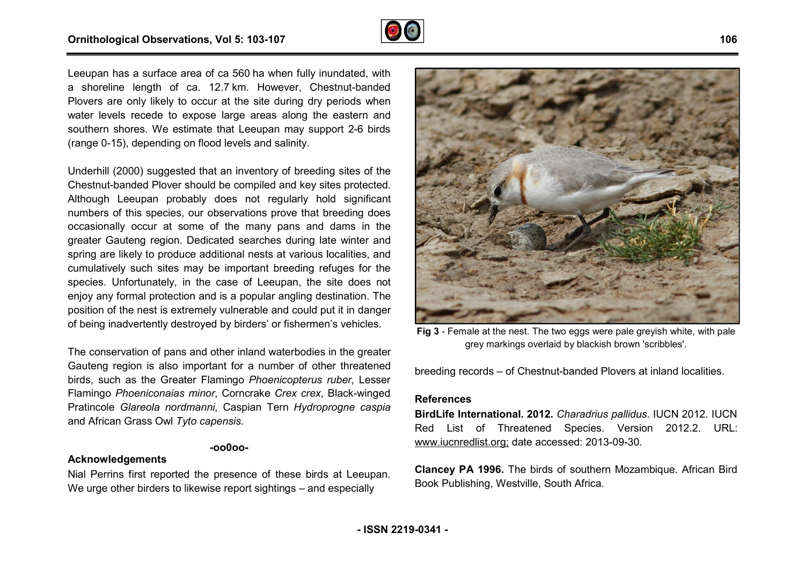

Leeupan has a surface area of ca 560 ha when fully inundated, with a shoreline length of ca. 12.7 km. However, Chestnut-banded Plovers are only likely to occur at the site during dry periods when water levels recede to expose large areas along the eastern and southern shores. We estimate that Leeupan may support 2 2-6 birds (range 0-15), depending on flood levels and salinity.

Underhill (2000) suggested that an inventory of breeding sites of the Chestnut-banded Plover should be compiled and key sites protected. Although Leeupan probably does not regularly hold significant numbers of this species, our observations prove that breeding does occasionally occur at some of the many pans and dams in the greater Gauteng region. Dedicated searches during late winter and spring are likely to produce additional nests at various localities, and cumulatively such sites may be important breeding refuges for the species. Unfortunately, in the case of Leeupan, the site does not enjoy any formal protection and is a popular angling destination. The position of the nest is extremely vulnerable and could put it in danger of being inadvertently destroyed by birders' or fishermen's vehicles. banded Plover should be compile<br>Leeupan probably does not<br>of this species, our observations<br>ally occur at some of the man-<br>auteng region. Dedicated search<br>alikely to produce additional nest<br>ely such sites may be important

The conservation of pans and other inland waterbodies in the greater Gauteng region is also important for a number of other threatened birds, such as the Greater Flamingo *Phoenicopterus r ruber*, Lesser Flamingo *Phoeniconaias minor*, Corncrake *Crex crex*, Black Black-winged Pratincole *Glareola nordmanni*, Caspian Tern *Hydroprogne caspia* and African Grass Owl *Tyto capensis*.

#### **-oo0oo-**

#### **Acknowledgements**

Nial Perrins first reported the presence of these birds at Leeupan. We urge other birders to likewise report sightings – and especially



grey markings overlaid by blackish brown 'scribbles'.

breeding records – of Chestnut-banded Plovers at inland localities.

#### **References**

Fig 3 - Female at the nest. The two eggs were pale greyish white, with pale<br>es in the greater<br>of grey markings overlaid by blackish brown 'scribbles'.<br>there threatened<br>*s ruber*, Lesser<br>**References**<br>**References**<br>**Reference BirdLife International. 2012.** *Charadrius pallidus* . IUCN 2012. IUCN Red List of Threatened Species. Version 2012.2. URL: [www.iucnredlist.org;](http://www.iucnredlist.org;) date accessed: 2013-09-30.

<u>www.iucnredlist.org;</u> date accessed: 2013-09-30.<br>**Clancey PA 1996.** The birds of southern Mozambique. African Bird Book Publishing, Westville, South Africa.